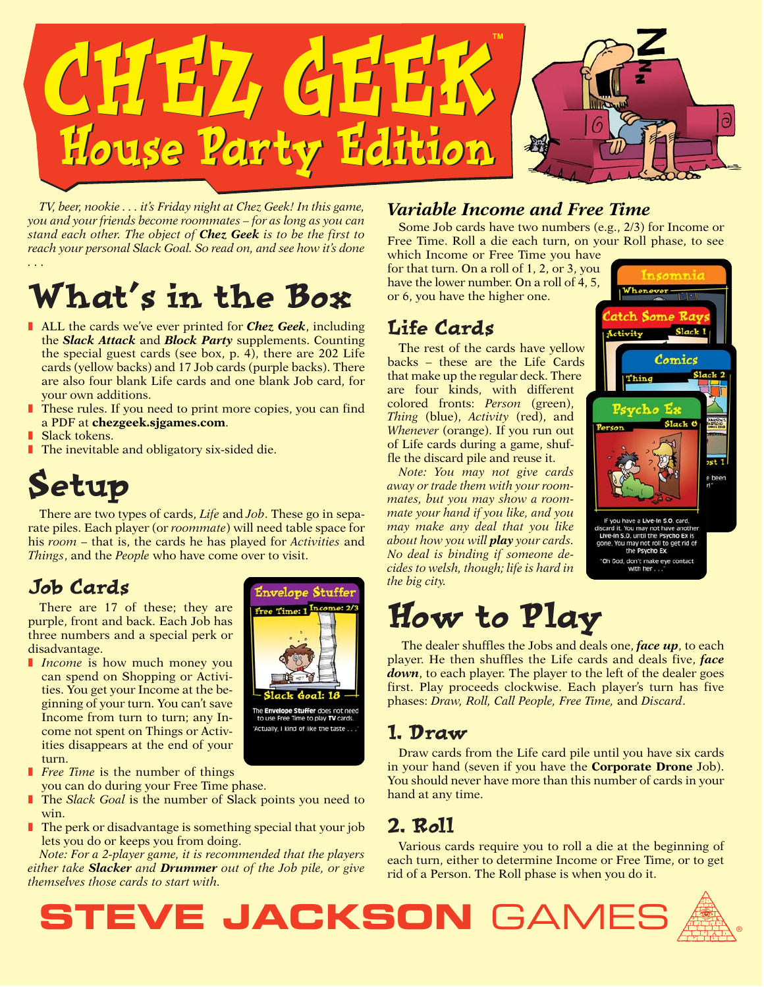

*TV, beer, nookie . . . it's Friday night at Chez Geek! In this game, you and your friends become roommates – for as long as you can stand each other. The object of Chez Geek is to be the first to reach your personal Slack Goal. So read on, and see how it's done ...*

# What's in the Box

- ALL the cards we've ever printed for **Chez Geek**, including the *Slack Attack* and *Block Party* supplements. Counting the special guest cards (see box, p. 4), there are 202 Life cards (yellow backs) and 17 Job cards (purple backs). There are also four blank Life cards and one blank Job card, for your own additions.
- These rules. If you need to print more copies, you can find a PDF at **chezgeek.sjgames.com**.
- **Slack tokens.**
- The inevitable and obligatory six-sided die.

# Setup

There are two types of cards, *Life* and *Job*. These go in separate piles. Each player (or *roommate*) will need table space for his *room* – that is, the cards he has played for *Activities* and *Things*, and the *People* who have come over to visit.

> **Envelope Stuffer** Free Time: 1 Inco

to use Free Time to play TV cards. "Actually, I kind of like the taste.

## Job Cards

There are 17 of these; they are purple, front and back. Each Job has three numbers and a special perk or disadvantage.

- **■** *Income* is how much money you can spend on Shopping or Activities. You get your Income at the beginning of your turn. You can't save Income from turn to turn; any Income not spent on Things or Activities disappears at the end of your turn.
- **■** *Free Time* is the number of things you can do during your Free Time phase.
- The *Slack Goal* is the number of Slack points you need to win.
- The perk or disadvantage is something special that your job lets you do or keeps you from doing.

*Note: For a 2-player game, it is recommended that the players either take Slacker and Drummer out of the Job pile, or give themselves those cards to start with.*

#### *Variable Income and Free Time*

Some Job cards have two numbers (e.g., 2/3) for Income or Free Time. Roll a die each turn, on your Roll phase, to see

which Income or Free Time you have for that turn. On a roll of 1, 2, or 3, you have the lower number. On a roll of 4, 5, or 6, you have the higher one.

## Life Cards

The rest of the cards have yellow backs – these are the Life Cards that make up the regular deck. There are four kinds, with different colored fronts: *Person* (green), *Thing* (blue), *Activity* (red), and *Whenever* (orange). If you run out of Life cards during a game, shuffle the discard pile and reuse it.

*Note: You may not give cards away or trade them with your roommates, but you may show a roommate your hand if you like, and you may make any deal that you like about how you will play your cards. No deal is binding if someone decides to welsh, though; life is hard in the big city.*

# How to Play

The dealer shuffles the Jobs and deals one, *face up*, to each player. He then shuffles the Life cards and deals five, *face down*, to each player. The player to the left of the dealer goes first. Play proceeds clockwise. Each player's turn has five phases: *Draw, Roll, Call People, Free Time,* and *Discard*.

### 1. Draw

Draw cards from the Life card pile until you have six cards in your hand (seven if you have the **Corporate Drone** Job). You should never have more than this number of cards in your hand at any time.

## 2. Roll

Various cards require you to roll a die at the beginning of each turn, either to determine Income or Free Time, or to get rid of a Person. The Roll phase is when you do it.





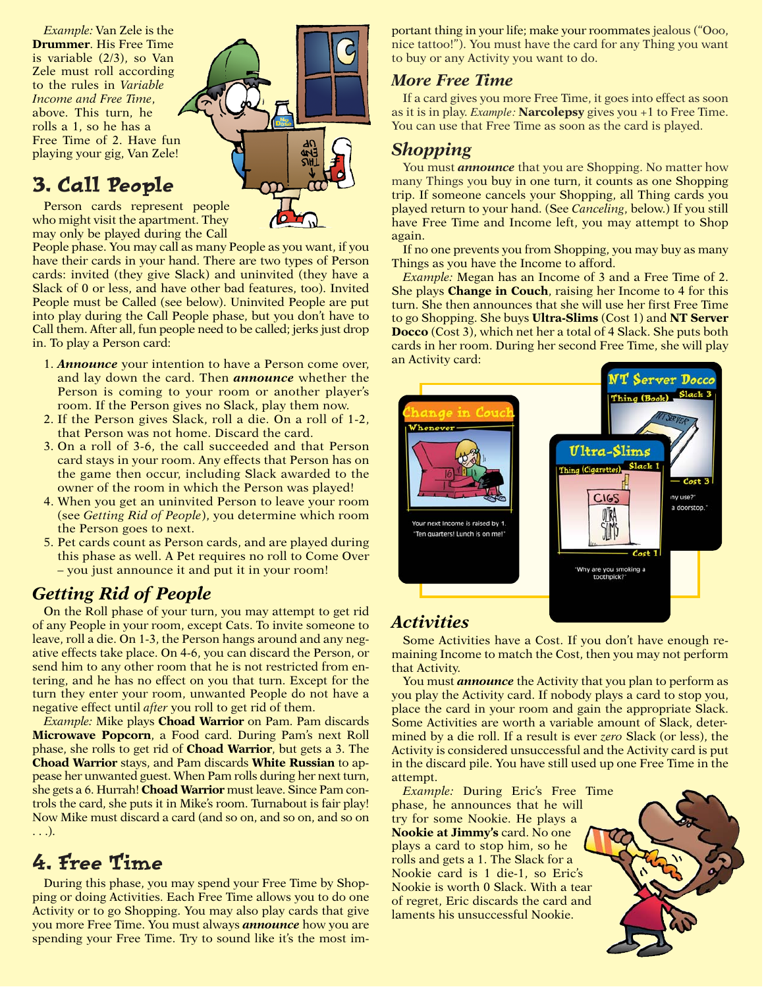*Example:* Van Zele is the **Drummer**. His Free Time is variable (2/3), so Van Zele must roll according to the rules in *Variable Income and Free Time*, above. This turn, he rolls a 1, so he has a Free Time of 2. Have fun playing your gig, Van Zele!

## 3. Call People

Person cards represent people who might visit the apartment. They may only be played during the Call

People phase. You may call as many People as you want, if you have their cards in your hand. There are two types of Person cards: invited (they give Slack) and uninvited (they have a Slack of 0 or less, and have other bad features, too). Invited People must be Called (see below). Uninvited People are put into play during the Call People phase, but you don't have to Call them. After all, fun people need to be called; jerks just drop in. To play a Person card:

- 1. *Announce* your intention to have a Person come over, and lay down the card. Then *announce* whether the Person is coming to your room or another player's room. If the Person gives no Slack, play them now.
- 2. If the Person gives Slack, roll a die. On a roll of 1-2, that Person was not home. Discard the card.
- 3. On a roll of 3-6, the call succeeded and that Person card stays in your room. Any effects that Person has on the game then occur, including Slack awarded to the owner of the room in which the Person was played!
- 4. When you get an uninvited Person to leave your room (see *Getting Rid of People*), you determine which room the Person goes to next.
- 5. Pet cards count as Person cards, and are played during this phase as well. A Pet requires no roll to Come Over – you just announce it and put it in your room!

### *Getting Rid of People*

On the Roll phase of your turn, you may attempt to get rid of any People in your room, except Cats. To invite someone to leave, roll a die. On 1-3, the Person hangs around and any negative effects take place. On 4-6, you can discard the Person, or send him to any other room that he is not restricted from entering, and he has no effect on you that turn. Except for the turn they enter your room, unwanted People do not have a negative effect until *after* you roll to get rid of them.

*Example:* Mike plays **Choad Warrior** on Pam. Pam discards **Microwave Popcorn**, a Food card. During Pam's next Roll phase, she rolls to get rid of **Choad Warrior**, but gets a 3. The **Choad Warrior** stays, and Pam discards **White Russian** to appease her unwanted guest. When Pam rolls during her next turn, she gets a 6. Hurrah! **Choad Warrior** must leave. Since Pam controls the card, she puts it in Mike's room. Turnabout is fair play! Now Mike must discard a card (and so on, and so on, and so on . . .).

## 4. Free Time

During this phase, you may spend your Free Time by Shopping or doing Activities. Each Free Time allows you to do one Activity or to go Shopping. You may also play cards that give you more Free Time. You must always *announce* how you are spending your Free Time. Try to sound like it's the most important thing in your life; make your roommates jealous ("Ooo, nice tattoo!"). You must have the card for any Thing you want to buy or any Activity you want to do.

#### *More Free Time*

If a card gives you more Free Time, it goes into effect as soon as it is in play. *Example:* **Narcolepsy** gives you +1 to Free Time. You can use that Free Time as soon as the card is played.

#### *Shopping*

You must *announce* that you are Shopping. No matter how many Things you buy in one turn, it counts as one Shopping trip. If someone cancels your Shopping, all Thing cards you played return to your hand. (See *Canceling*, below.) If you still have Free Time and Income left, you may attempt to Shop again.

If no one prevents you from Shopping, you may buy as many Things as you have the Income to afford.

*Example:* Megan has an Income of 3 and a Free Time of 2. She plays **Change in Couch**, raising her Income to 4 for this turn. She then announces that she will use her first Free Time to go Shopping. She buys **Ultra-Slims** (Cost 1) and **NT Server Docco** (Cost 3), which net her a total of 4 Slack. She puts both cards in her room. During her second Free Time, she will play an Activity card:



### *Activities*

Some Activities have a Cost. If you don't have enough remaining Income to match the Cost, then you may not perform that Activity.

You must *announce* the Activity that you plan to perform as you play the Activity card. If nobody plays a card to stop you, place the card in your room and gain the appropriate Slack. Some Activities are worth a variable amount of Slack, determined by a die roll. If a result is ever *zero* Slack (or less), the Activity is considered unsuccessful and the Activity card is put in the discard pile. You have still used up one Free Time in the attempt.

*Example:* During Eric's Free Time phase, he announces that he will try for some Nookie. He plays a **Nookie at Jimmy's** card. No one plays a card to stop him, so he rolls and gets a 1. The Slack for a Nookie card is 1 die-1, so Eric's Nookie is worth 0 Slack. With a tear of regret, Eric discards the card and laments his unsuccessful Nookie.



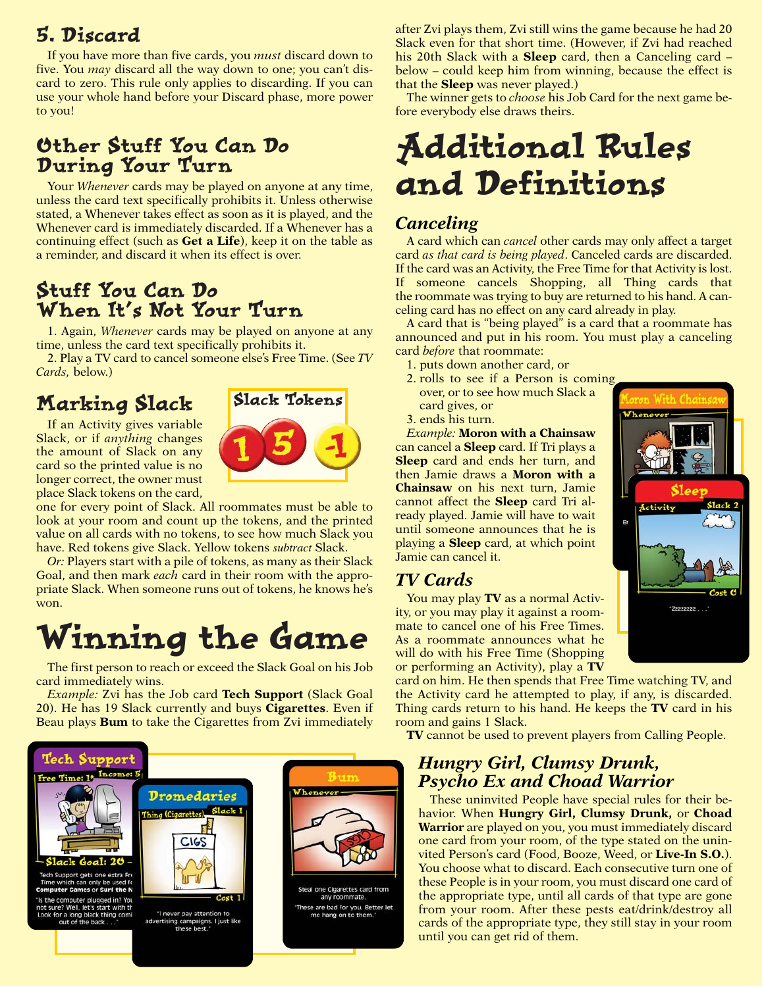## 5. Discard

If you have more than five cards, you *must* discard down to five. You *may* discard all the way down to one; you can't discard to zero. This rule only applies to discarding. If you can use your whole hand before your Discard phase, more power to you!

## Other Stuff You Can Do During Your Turn

Your *Whenever* cards may be played on anyone at any time, unless the card text specifically prohibits it. Unless otherwise stated, a Whenever takes effect as soon as it is played, and the Whenever card is immediately discarded. If a Whenever has a continuing effect (such as **Get a Life**), keep it on the table as a reminder, and discard it when its effect is over.

### Stuff You Can Do When It's Not Your Turn

1. Again, *Whenever* cards may be played on anyone at any time, unless the card text specifically prohibits it.

2. Play a TV card to cancel someone else's Free Time. (See *TV Cards,* below.)

# Marking Slack

If an Activity gives variable Slack, or if *anything* changes the amount of Slack on any card so the printed value is no longer correct, the owner must place Slack tokens on the card,



one for every point of Slack. All roommates must be able to look at your room and count up the tokens, and the printed value on all cards with no tokens, to see how much Slack you have. Red tokens give Slack. Yellow tokens *subtract* Slack.

*Or:* Players start with a pile of tokens, as many as their Slack Goal, and then mark *each* card in their room with the appropriate Slack. When someone runs out of tokens, he knows he's won.

# Winning the Game

The first person to reach or exceed the Slack Goal on his Job card immediately wins.

*Example:* Zvi has the Job card **Tech Support** (Slack Goal 20). He has 19 Slack currently and buys **Cigarettes**. Even if Beau plays **Bum** to take the Cigarettes from Zvi immediately



after Zvi plays them, Zvi still wins the game because he had 20 Slack even for that short time. (However, if Zvi had reached his 20th Slack with a **Sleep** card, then a Canceling card – below – could keep him from winning, because the effect is that the **Sleep** was never played.)

The winner gets to *choose* his Job Card for the next game before everybody else draws theirs.

# Additional Rules and Definitions

#### *Canceling*

A card which can *cancel* other cards may only affect a target card *as that card is being played*. Canceled cards are discarded. If the card was an Activity, the Free Time for that Activity is lost. If someone cancels Shopping, all Thing cards that the roommate was trying to buy are returned to his hand. A canceling card has no effect on any card already in play.

A card that is "being played" is a card that a roommate has announced and put in his room. You must play a canceling card *before* that roommate:

- 1. puts down another card, or
- 2. rolls to see if a Person is coming over, or to see how much Slack a card gives, or
- 3. ends his turn.

*Example:* **Moron with a Chainsaw** can cancel a **Sleep** card. If Tri plays a **Sleep** card and ends her turn, and then Jamie draws a **Moron with a Chainsaw** on his next turn, Jamie cannot affect the **Sleep** card Tri already played. Jamie will have to wait until someone announces that he is playing a **Sleep** card, at which point Jamie can cancel it.

#### *TV Cards*

You may play **TV** as a normal Activity, or you may play it against a roommate to cancel one of his Free Times. As a roommate announces what he will do with his Free Time (Shopping or performing an Activity), play a **TV**

card on him. He then spends that Free Time watching TV, and the Activity card he attempted to play, if any, is discarded. Thing cards return to his hand. He keeps the **TV** card in his room and gains 1 Slack.

**TV** cannot be used to prevent players from Calling People.

#### *Hungry Girl, Clumsy Drunk, Psycho Ex and Choad Warrior*

These uninvited People have special rules for their behavior. When **Hungry Girl, Clumsy Drunk,** or **Choad Warrior** are played on you, you must immediately discard one card from your room, of the type stated on the uninvited Person's card (Food, Booze, Weed, or **Live-In S.O.**). You choose what to discard. Each consecutive turn one of these People is in your room, you must discard one card of the appropriate type, until all cards of that type are gone from your room. After these pests eat/drink/destroy all cards of the appropriate type, they still stay in your room until you can get rid of them.